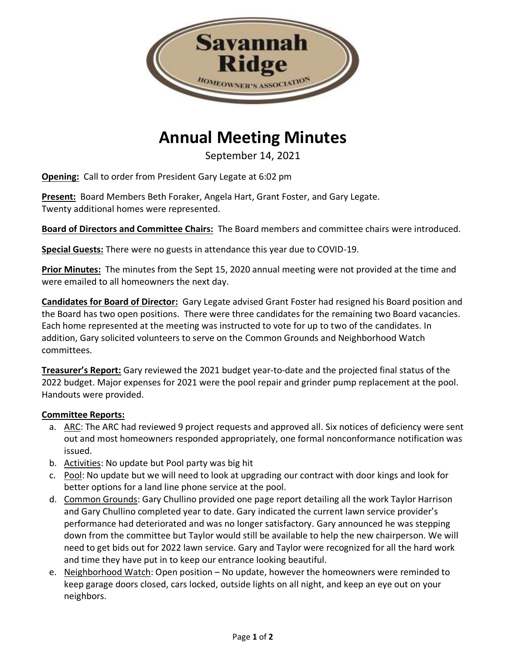

## **Annual Meeting Minutes**

September 14, 2021

**Opening:** Call to order from President Gary Legate at 6:02 pm

**Present:** Board Members Beth Foraker, Angela Hart, Grant Foster, and Gary Legate. Twenty additional homes were represented.

**Board of Directors and Committee Chairs:** The Board members and committee chairs were introduced.

**Special Guests:** There were no guests in attendance this year due to COVID-19.

**Prior Minutes:** The minutes from the Sept 15, 2020 annual meeting were not provided at the time and were emailed to all homeowners the next day.

**Candidates for Board of Director:** Gary Legate advised Grant Foster had resigned his Board position and the Board has two open positions. There were three candidates for the remaining two Board vacancies. Each home represented at the meeting was instructed to vote for up to two of the candidates. In addition, Gary solicited volunteers to serve on the Common Grounds and Neighborhood Watch committees.

**Treasurer's Report:** Gary reviewed the 2021 budget year-to-date and the projected final status of the 2022 budget. Major expenses for 2021 were the pool repair and grinder pump replacement at the pool. Handouts were provided.

## **Committee Reports:**

- a. ARC: The ARC had reviewed 9 project requests and approved all. Six notices of deficiency were sent out and most homeowners responded appropriately, one formal nonconformance notification was issued.
- b. Activities: No update but Pool party was big hit
- c. Pool: No update but we will need to look at upgrading our contract with door kings and look for better options for a land line phone service at the pool.
- d. Common Grounds: Gary Chullino provided one page report detailing all the work Taylor Harrison and Gary Chullino completed year to date. Gary indicated the current lawn service provider's performance had deteriorated and was no longer satisfactory. Gary announced he was stepping down from the committee but Taylor would still be available to help the new chairperson. We will need to get bids out for 2022 lawn service. Gary and Taylor were recognized for all the hard work and time they have put in to keep our entrance looking beautiful.
- e. Neighborhood Watch: Open position No update, however the homeowners were reminded to keep garage doors closed, cars locked, outside lights on all night, and keep an eye out on your neighbors.